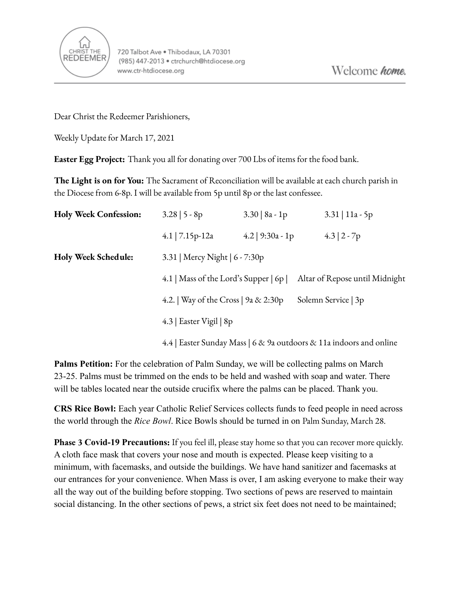

Dear Christ the Redeemer Parishioners,

Weekly Update for March 17, 2021

**Easter Egg Project:** Thank you all for donating over 700 Lbs of items for the food bank.

**The Light is on for You:** The Sacrament of Reconciliation will be available at each church parish in the Diocese from 6-8p. I will be available from 5p until 8p or the last confessee.

| <b>Holy Week Confession:</b> | $3.28$   5 - 8p                                                     | $3.30 \mid 8a - 1p$ | $3.31 \mid 11a - 5p$           |
|------------------------------|---------------------------------------------------------------------|---------------------|--------------------------------|
|                              | 4.1   $7.15p-12a$                                                   | 4.2   $9:30a - 1p$  | $4.3 \mid 2 - 7p$              |
| <b>Holy Week Schedule:</b>   | 3.31   Mercy Night   6 - 7:30p                                      |                     |                                |
|                              | 4.1   Mass of the Lord's Supper $\vert$ 6p $\vert$                  |                     | Altar of Repose until Midnight |
|                              | 4.2.   Way of the Cross   9a & 2:30p                                |                     | Solemn Service   3p            |
|                              | 4.3   Easter Vigil   $8p$                                           |                     |                                |
|                              | 4.4   Easter Sunday Mass   6 & 9a outdoors & 11a indoors and online |                     |                                |

**Palms Petition:** For the celebration of Palm Sunday, we will be collecting palms on March 23-25. Palms must be trimmed on the ends to be held and washed with soap and water. There will be tables located near the outside crucifix where the palms can be placed. Thank you.

**CRS Rice Bowl:** Each year Catholic Relief Services collects funds to feed people in need across the world through the *Rice Bowl*. Rice Bowls should be turned in on Palm Sunday, March 28.

**Phase 3 Covid-19 Precautions:** If you feel ill, please stay home so that you can recover more quickly. A cloth face mask that covers your nose and mouth is expected. Please keep visiting to a minimum, with facemasks, and outside the buildings. We have hand sanitizer and facemasks at our entrances for your convenience. When Mass is over, I am asking everyone to make their way all the way out of the building before stopping. Two sections of pews are reserved to maintain social distancing. In the other sections of pews, a strict six feet does not need to be maintained;